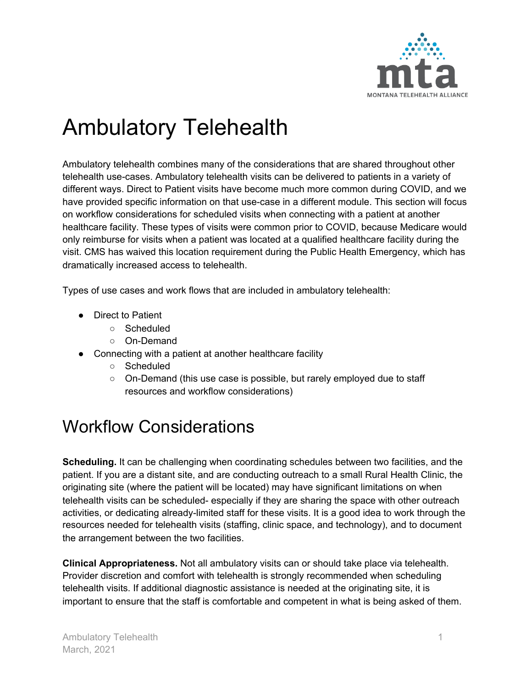

# Ambulatory Telehealth

Ambulatory telehealth combines many of the considerations that are shared throughout other telehealth use-cases. Ambulatory telehealth visits can be delivered to patients in a variety of different ways. Direct to Patient visits have become much more common during COVID, and we have provided specific information on that use-case in a different module. This section will focus on workflow considerations for scheduled visits when connecting with a patient at another healthcare facility. These types of visits were common prior to COVID, because Medicare would only reimburse for visits when a patient was located at a qualified healthcare facility during the visit. CMS has waived this location requirement during the Public Health Emergency, which has dramatically increased access to telehealth.

Types of use cases and work flows that are included in ambulatory telehealth:

- Direct to Patient
	- Scheduled
	- On-Demand
- Connecting with a patient at another healthcare facility
	- Scheduled
	- On-Demand (this use case is possible, but rarely employed due to staff resources and workflow considerations)

### Workflow Considerations

**Scheduling.** It can be challenging when coordinating schedules between two facilities, and the patient. If you are a distant site, and are conducting outreach to a small Rural Health Clinic, the originating site (where the patient will be located) may have significant limitations on when telehealth visits can be scheduled- especially if they are sharing the space with other outreach activities, or dedicating already-limited staff for these visits. It is a good idea to work through the resources needed for telehealth visits (staffing, clinic space, and technology), and to document the arrangement between the two facilities.

**Clinical Appropriateness.** Not all ambulatory visits can or should take place via telehealth. Provider discretion and comfort with telehealth is strongly recommended when scheduling telehealth visits. If additional diagnostic assistance is needed at the originating site, it is important to ensure that the staff is comfortable and competent in what is being asked of them.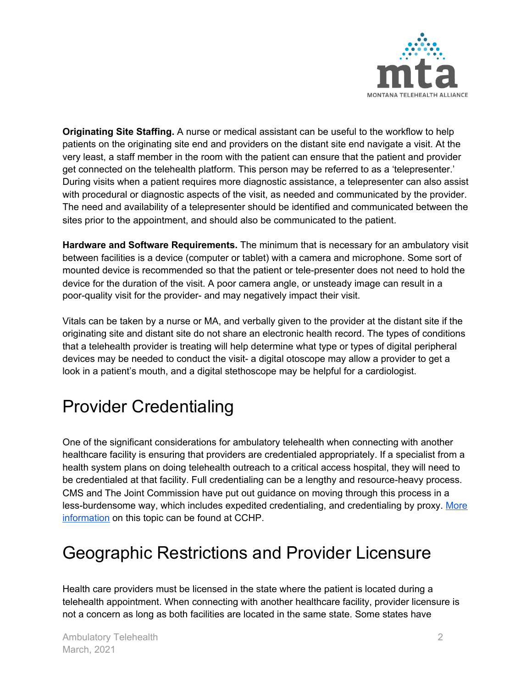

**Originating Site Staffing.** A nurse or medical assistant can be useful to the workflow to help patients on the originating site end and providers on the distant site end navigate a visit. At the very least, a staff member in the room with the patient can ensure that the patient and provider get connected on the telehealth platform. This person may be referred to as a 'telepresenter.' During visits when a patient requires more diagnostic assistance, a telepresenter can also assist with procedural or diagnostic aspects of the visit, as needed and communicated by the provider. The need and availability of a telepresenter should be identified and communicated between the sites prior to the appointment, and should also be communicated to the patient.

**Hardware and Software Requirements.** The minimum that is necessary for an ambulatory visit between facilities is a device (computer or tablet) with a camera and microphone. Some sort of mounted device is recommended so that the patient or tele-presenter does not need to hold the device for the duration of the visit. A poor camera angle, or unsteady image can result in a poor-quality visit for the provider- and may negatively impact their visit.

Vitals can be taken by a nurse or MA, and verbally given to the provider at the distant site if the originating site and distant site do not share an electronic health record. The types of conditions that a telehealth provider is treating will help determine what type or types of digital peripheral devices may be needed to conduct the visit- a digital otoscope may allow a provider to get a look in a patient's mouth, and a digital stethoscope may be helpful for a cardiologist.

## Provider Credentialing

One of the significant considerations for ambulatory telehealth when connecting with another healthcare facility is ensuring that providers are credentialed appropriately. If a specialist from a health system plans on doing telehealth outreach to a critical access hospital, they will need to be credentialed at that facility. Full credentialing can be a lengthy and resource-heavy process. CMS and The Joint Commission have put out guidance on moving through this process in a less-burdensome way, which includes expedited credentialing, and credentialing by proxy. [More](https://www.cchpca.org/telehealth-policy/credentialing-and-privileging) [information](https://www.cchpca.org/telehealth-policy/credentialing-and-privileging) on this topic can be found at CCHP.

### Geographic Restrictions and Provider Licensure

Health care providers must be licensed in the state where the patient is located during a telehealth appointment. When connecting with another healthcare facility, provider licensure is not a concern as long as both facilities are located in the same state. Some states have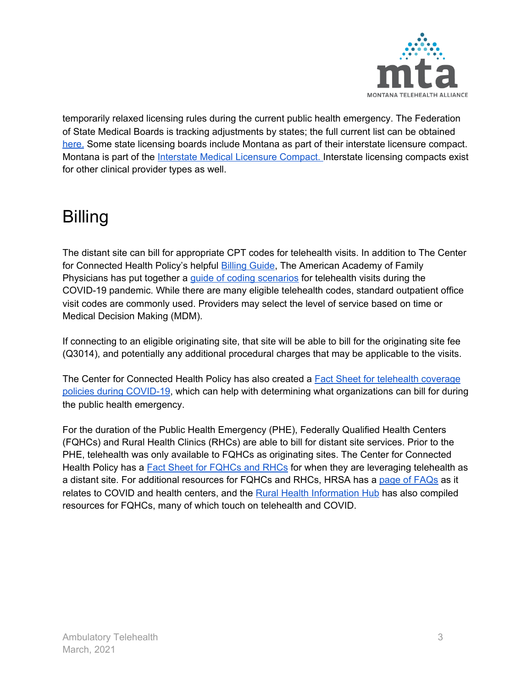

temporarily relaxed licensing rules during the current public health emergency. The Federation of State Medical Boards is tracking adjustments by states; the full current list can be obtained [here.](https://www.fsmb.org/siteassets/advocacy/pdf/states-waiving-licensure-requirements-for-telehealth-in-response-to-covid-19.pdf) Some state licensing boards include Montana as part of their interstate licensure compact. Montana is part of the *Interstate Medical [Licensure](https://www.imlcc.org/) Compact*. Interstate licensing compacts exist for other clinical provider types as well.

### Billing

The distant site can bill for appropriate CPT codes for telehealth visits. In addition to The Center for Connected Health Policy's helpful [Billing](https://www.cchpca.org/sites/default/files/2020-01/Billing%20Guide%20for%20Telehealth%20Encounters_FINAL.pdf) Guide, The American Academy of Family Physicians has put together a guide of coding [scenarios](https://www.aafp.org/family-physician/patient-care/current-hot-topics/recent-outbreaks/covid-19/covid-19-telehealth/coding-scenarios-during-covid-19/telehealth.html) for telehealth visits during the COVID-19 pandemic. While there are many eligible telehealth codes, standard outpatient office visit codes are commonly used. Providers may select the level of service based on time or Medical Decision Making (MDM).

If connecting to an eligible originating site, that site will be able to bill for the originating site fee (Q3014), and potentially any additional procedural charges that may be applicable to the visits.

The Center for Connected Health Policy has also created a Fact Sheet for [telehealth](https://www.cchpca.org/sites/default/files/2020-04/CORONAVIRUS%20TELEHEALTH%20POLICY%20FACT%20SHEET%20APRIL%2030%202020%20FINAL.pdf) coverage policies during [COVID-19](https://www.cchpca.org/sites/default/files/2020-04/CORONAVIRUS%20TELEHEALTH%20POLICY%20FACT%20SHEET%20APRIL%2030%202020%20FINAL.pdf), which can help with determining what organizations can bill for during the public health emergency.

For the duration of the Public Health Emergency (PHE), Federally Qualified Health Centers (FQHCs) and Rural Health Clinics (RHCs) are able to bill for distant site services. Prior to the PHE, telehealth was only available to FQHCs as originating sites. The Center for Connected Health Policy has a Fact Sheet for [FQHCs](https://www.cchpca.org/sites/default/files/2020-04/CMS%20FQHC%20RHC%20FACT%20SHEET%204.30.20%20FINAL.pdf) and RHCs for when they are leveraging telehealth as a distant site. For additional resources for FQHCs and RHCs, HRSA has a page of [FAQs](https://bphc.hrsa.gov/emergency-response/coronavirus-frequently-asked-questions?field_faq_category_tid=All&combine=telehealth) as it relates to COVID and health centers, and the Rural Health [Information](https://www.ruralhealthinfo.org/topics/federally-qualified-health-centers/resources) Hub has also compiled resources for FQHCs, many of which touch on telehealth and COVID.